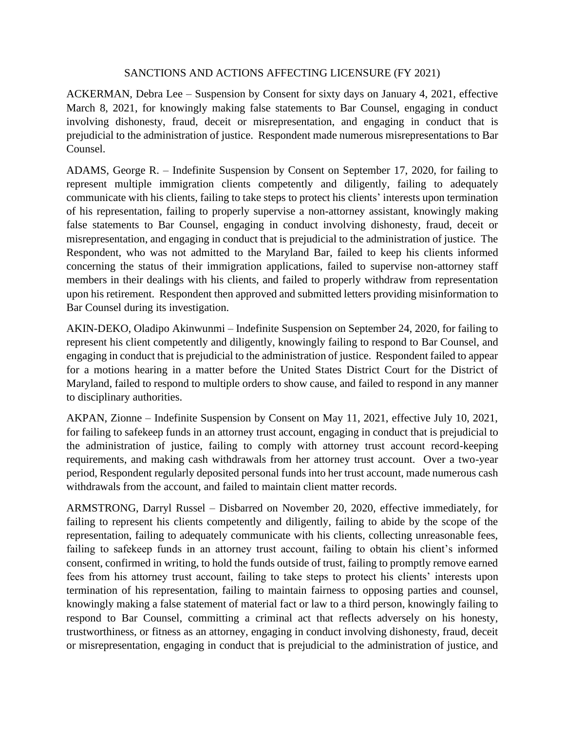## SANCTIONS AND ACTIONS AFFECTING LICENSURE (FY 2021)

ACKERMAN, Debra Lee – Suspension by Consent for sixty days on January 4, 2021, effective March 8, 2021, for knowingly making false statements to Bar Counsel, engaging in conduct involving dishonesty, fraud, deceit or misrepresentation, and engaging in conduct that is prejudicial to the administration of justice. Respondent made numerous misrepresentations to Bar Counsel.

ADAMS, George R. – Indefinite Suspension by Consent on September 17, 2020, for failing to represent multiple immigration clients competently and diligently, failing to adequately communicate with his clients, failing to take steps to protect his clients' interests upon termination of his representation, failing to properly supervise a non-attorney assistant, knowingly making false statements to Bar Counsel, engaging in conduct involving dishonesty, fraud, deceit or misrepresentation, and engaging in conduct that is prejudicial to the administration of justice. The Respondent, who was not admitted to the Maryland Bar, failed to keep his clients informed concerning the status of their immigration applications, failed to supervise non-attorney staff members in their dealings with his clients, and failed to properly withdraw from representation upon his retirement. Respondent then approved and submitted letters providing misinformation to Bar Counsel during its investigation.

AKIN-DEKO, Oladipo Akinwunmi – Indefinite Suspension on September 24, 2020, for failing to represent his client competently and diligently, knowingly failing to respond to Bar Counsel, and engaging in conduct that is prejudicial to the administration of justice. Respondent failed to appear for a motions hearing in a matter before the United States District Court for the District of Maryland, failed to respond to multiple orders to show cause, and failed to respond in any manner to disciplinary authorities.

AKPAN, Zionne – Indefinite Suspension by Consent on May 11, 2021, effective July 10, 2021, for failing to safekeep funds in an attorney trust account, engaging in conduct that is prejudicial to the administration of justice, failing to comply with attorney trust account record-keeping requirements, and making cash withdrawals from her attorney trust account. Over a two-year period, Respondent regularly deposited personal funds into her trust account, made numerous cash withdrawals from the account, and failed to maintain client matter records.

ARMSTRONG, Darryl Russel – Disbarred on November 20, 2020, effective immediately, for failing to represent his clients competently and diligently, failing to abide by the scope of the representation, failing to adequately communicate with his clients, collecting unreasonable fees, failing to safekeep funds in an attorney trust account, failing to obtain his client's informed consent, confirmed in writing, to hold the funds outside of trust, failing to promptly remove earned fees from his attorney trust account, failing to take steps to protect his clients' interests upon termination of his representation, failing to maintain fairness to opposing parties and counsel, knowingly making a false statement of material fact or law to a third person, knowingly failing to respond to Bar Counsel, committing a criminal act that reflects adversely on his honesty, trustworthiness, or fitness as an attorney, engaging in conduct involving dishonesty, fraud, deceit or misrepresentation, engaging in conduct that is prejudicial to the administration of justice, and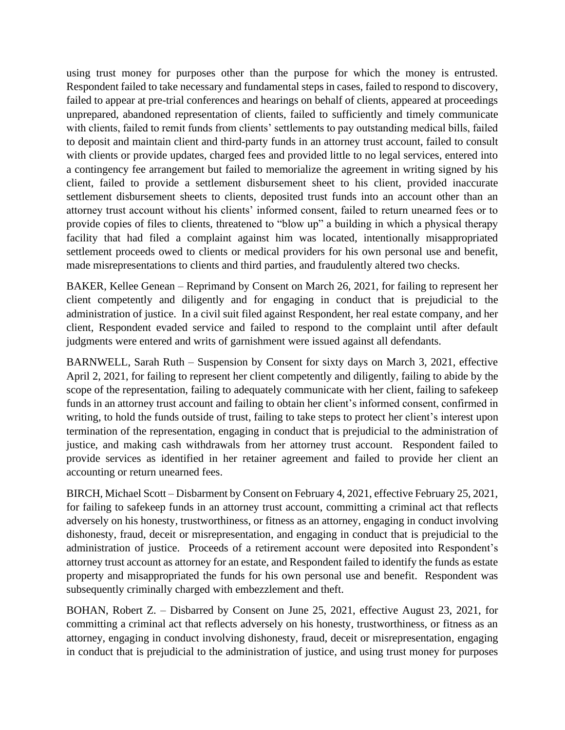using trust money for purposes other than the purpose for which the money is entrusted. Respondent failed to take necessary and fundamental steps in cases, failed to respond to discovery, failed to appear at pre-trial conferences and hearings on behalf of clients, appeared at proceedings unprepared, abandoned representation of clients, failed to sufficiently and timely communicate with clients, failed to remit funds from clients' settlements to pay outstanding medical bills, failed to deposit and maintain client and third-party funds in an attorney trust account, failed to consult with clients or provide updates, charged fees and provided little to no legal services, entered into a contingency fee arrangement but failed to memorialize the agreement in writing signed by his client, failed to provide a settlement disbursement sheet to his client, provided inaccurate settlement disbursement sheets to clients, deposited trust funds into an account other than an attorney trust account without his clients' informed consent, failed to return unearned fees or to provide copies of files to clients, threatened to "blow up" a building in which a physical therapy facility that had filed a complaint against him was located, intentionally misappropriated settlement proceeds owed to clients or medical providers for his own personal use and benefit, made misrepresentations to clients and third parties, and fraudulently altered two checks.

BAKER, Kellee Genean – Reprimand by Consent on March 26, 2021, for failing to represent her client competently and diligently and for engaging in conduct that is prejudicial to the administration of justice. In a civil suit filed against Respondent, her real estate company, and her client, Respondent evaded service and failed to respond to the complaint until after default judgments were entered and writs of garnishment were issued against all defendants.

BARNWELL, Sarah Ruth – Suspension by Consent for sixty days on March 3, 2021, effective April 2, 2021, for failing to represent her client competently and diligently, failing to abide by the scope of the representation, failing to adequately communicate with her client, failing to safekeep funds in an attorney trust account and failing to obtain her client's informed consent, confirmed in writing, to hold the funds outside of trust, failing to take steps to protect her client's interest upon termination of the representation, engaging in conduct that is prejudicial to the administration of justice, and making cash withdrawals from her attorney trust account. Respondent failed to provide services as identified in her retainer agreement and failed to provide her client an accounting or return unearned fees.

BIRCH, Michael Scott – Disbarment by Consent on February 4, 2021, effective February 25, 2021, for failing to safekeep funds in an attorney trust account, committing a criminal act that reflects adversely on his honesty, trustworthiness, or fitness as an attorney, engaging in conduct involving dishonesty, fraud, deceit or misrepresentation, and engaging in conduct that is prejudicial to the administration of justice. Proceeds of a retirement account were deposited into Respondent's attorney trust account as attorney for an estate, and Respondent failed to identify the funds as estate property and misappropriated the funds for his own personal use and benefit. Respondent was subsequently criminally charged with embezzlement and theft.

BOHAN, Robert Z. – Disbarred by Consent on June 25, 2021, effective August 23, 2021, for committing a criminal act that reflects adversely on his honesty, trustworthiness, or fitness as an attorney, engaging in conduct involving dishonesty, fraud, deceit or misrepresentation, engaging in conduct that is prejudicial to the administration of justice, and using trust money for purposes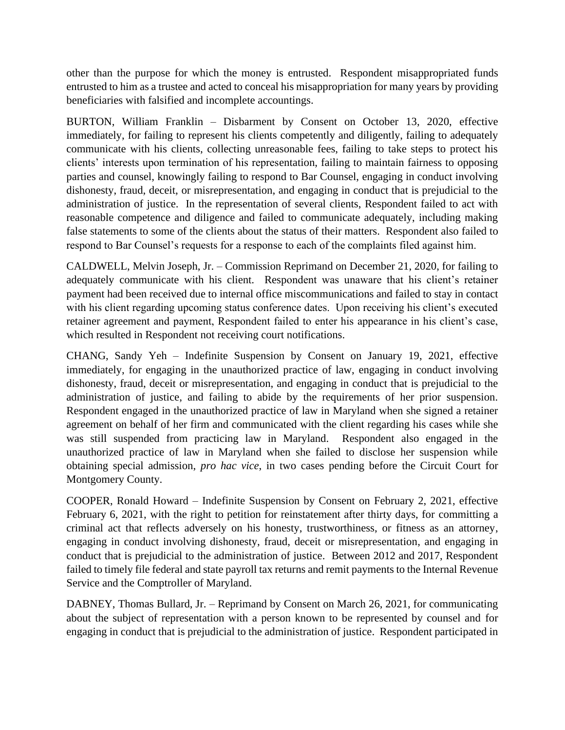other than the purpose for which the money is entrusted. Respondent misappropriated funds entrusted to him as a trustee and acted to conceal his misappropriation for many years by providing beneficiaries with falsified and incomplete accountings.

BURTON, William Franklin – Disbarment by Consent on October 13, 2020, effective immediately, for failing to represent his clients competently and diligently, failing to adequately communicate with his clients, collecting unreasonable fees, failing to take steps to protect his clients' interests upon termination of his representation, failing to maintain fairness to opposing parties and counsel, knowingly failing to respond to Bar Counsel, engaging in conduct involving dishonesty, fraud, deceit, or misrepresentation, and engaging in conduct that is prejudicial to the administration of justice. In the representation of several clients, Respondent failed to act with reasonable competence and diligence and failed to communicate adequately, including making false statements to some of the clients about the status of their matters. Respondent also failed to respond to Bar Counsel's requests for a response to each of the complaints filed against him.

CALDWELL, Melvin Joseph, Jr. – Commission Reprimand on December 21, 2020, for failing to adequately communicate with his client. Respondent was unaware that his client's retainer payment had been received due to internal office miscommunications and failed to stay in contact with his client regarding upcoming status conference dates. Upon receiving his client's executed retainer agreement and payment, Respondent failed to enter his appearance in his client's case, which resulted in Respondent not receiving court notifications.

CHANG, Sandy Yeh – Indefinite Suspension by Consent on January 19, 2021, effective immediately, for engaging in the unauthorized practice of law, engaging in conduct involving dishonesty, fraud, deceit or misrepresentation, and engaging in conduct that is prejudicial to the administration of justice, and failing to abide by the requirements of her prior suspension. Respondent engaged in the unauthorized practice of law in Maryland when she signed a retainer agreement on behalf of her firm and communicated with the client regarding his cases while she was still suspended from practicing law in Maryland. Respondent also engaged in the unauthorized practice of law in Maryland when she failed to disclose her suspension while obtaining special admission, *pro hac vice*, in two cases pending before the Circuit Court for Montgomery County.

COOPER, Ronald Howard – Indefinite Suspension by Consent on February 2, 2021, effective February 6, 2021, with the right to petition for reinstatement after thirty days, for committing a criminal act that reflects adversely on his honesty, trustworthiness, or fitness as an attorney, engaging in conduct involving dishonesty, fraud, deceit or misrepresentation, and engaging in conduct that is prejudicial to the administration of justice. Between 2012 and 2017, Respondent failed to timely file federal and state payroll tax returns and remit payments to the Internal Revenue Service and the Comptroller of Maryland.

DABNEY, Thomas Bullard, Jr. – Reprimand by Consent on March 26, 2021, for communicating about the subject of representation with a person known to be represented by counsel and for engaging in conduct that is prejudicial to the administration of justice. Respondent participated in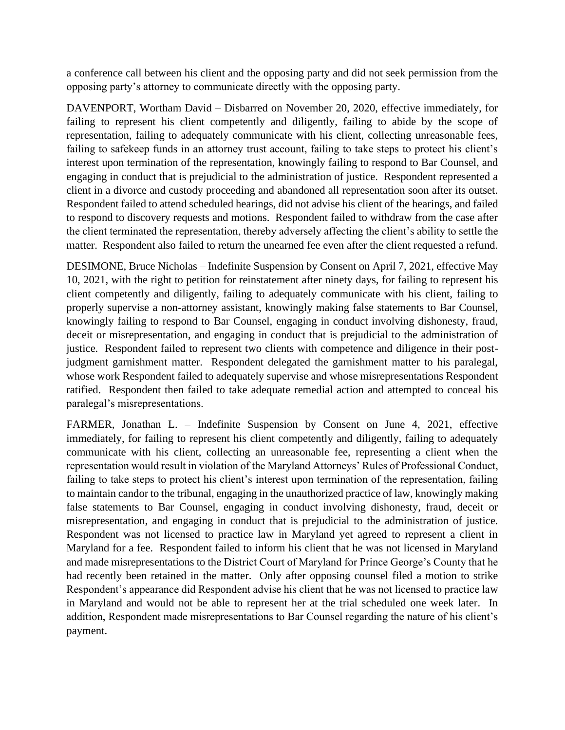a conference call between his client and the opposing party and did not seek permission from the opposing party's attorney to communicate directly with the opposing party.

DAVENPORT, Wortham David – Disbarred on November 20, 2020, effective immediately, for failing to represent his client competently and diligently, failing to abide by the scope of representation, failing to adequately communicate with his client, collecting unreasonable fees, failing to safekeep funds in an attorney trust account, failing to take steps to protect his client's interest upon termination of the representation, knowingly failing to respond to Bar Counsel, and engaging in conduct that is prejudicial to the administration of justice. Respondent represented a client in a divorce and custody proceeding and abandoned all representation soon after its outset. Respondent failed to attend scheduled hearings, did not advise his client of the hearings, and failed to respond to discovery requests and motions. Respondent failed to withdraw from the case after the client terminated the representation, thereby adversely affecting the client's ability to settle the matter. Respondent also failed to return the unearned fee even after the client requested a refund.

DESIMONE, Bruce Nicholas – Indefinite Suspension by Consent on April 7, 2021, effective May 10, 2021, with the right to petition for reinstatement after ninety days, for failing to represent his client competently and diligently, failing to adequately communicate with his client, failing to properly supervise a non-attorney assistant, knowingly making false statements to Bar Counsel, knowingly failing to respond to Bar Counsel, engaging in conduct involving dishonesty, fraud, deceit or misrepresentation, and engaging in conduct that is prejudicial to the administration of justice. Respondent failed to represent two clients with competence and diligence in their postjudgment garnishment matter. Respondent delegated the garnishment matter to his paralegal, whose work Respondent failed to adequately supervise and whose misrepresentations Respondent ratified. Respondent then failed to take adequate remedial action and attempted to conceal his paralegal's misrepresentations.

FARMER, Jonathan L. – Indefinite Suspension by Consent on June 4, 2021, effective immediately, for failing to represent his client competently and diligently, failing to adequately communicate with his client, collecting an unreasonable fee, representing a client when the representation would result in violation of the Maryland Attorneys' Rules of Professional Conduct, failing to take steps to protect his client's interest upon termination of the representation, failing to maintain candor to the tribunal, engaging in the unauthorized practice of law, knowingly making false statements to Bar Counsel, engaging in conduct involving dishonesty, fraud, deceit or misrepresentation, and engaging in conduct that is prejudicial to the administration of justice. Respondent was not licensed to practice law in Maryland yet agreed to represent a client in Maryland for a fee. Respondent failed to inform his client that he was not licensed in Maryland and made misrepresentations to the District Court of Maryland for Prince George's County that he had recently been retained in the matter. Only after opposing counsel filed a motion to strike Respondent's appearance did Respondent advise his client that he was not licensed to practice law in Maryland and would not be able to represent her at the trial scheduled one week later. In addition, Respondent made misrepresentations to Bar Counsel regarding the nature of his client's payment.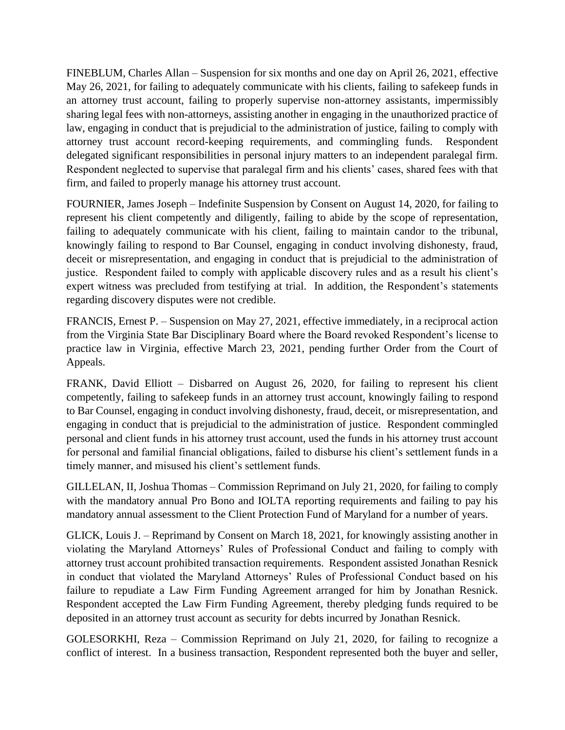FINEBLUM, Charles Allan – Suspension for six months and one day on April 26, 2021, effective May 26, 2021, for failing to adequately communicate with his clients, failing to safekeep funds in an attorney trust account, failing to properly supervise non-attorney assistants, impermissibly sharing legal fees with non-attorneys, assisting another in engaging in the unauthorized practice of law, engaging in conduct that is prejudicial to the administration of justice, failing to comply with attorney trust account record-keeping requirements, and commingling funds. Respondent delegated significant responsibilities in personal injury matters to an independent paralegal firm. Respondent neglected to supervise that paralegal firm and his clients' cases, shared fees with that firm, and failed to properly manage his attorney trust account.

FOURNIER, James Joseph – Indefinite Suspension by Consent on August 14, 2020, for failing to represent his client competently and diligently, failing to abide by the scope of representation, failing to adequately communicate with his client, failing to maintain candor to the tribunal, knowingly failing to respond to Bar Counsel, engaging in conduct involving dishonesty, fraud, deceit or misrepresentation, and engaging in conduct that is prejudicial to the administration of justice. Respondent failed to comply with applicable discovery rules and as a result his client's expert witness was precluded from testifying at trial. In addition, the Respondent's statements regarding discovery disputes were not credible.

FRANCIS, Ernest P. – Suspension on May 27, 2021, effective immediately, in a reciprocal action from the Virginia State Bar Disciplinary Board where the Board revoked Respondent's license to practice law in Virginia, effective March 23, 2021, pending further Order from the Court of Appeals.

FRANK, David Elliott – Disbarred on August 26, 2020, for failing to represent his client competently, failing to safekeep funds in an attorney trust account, knowingly failing to respond to Bar Counsel, engaging in conduct involving dishonesty, fraud, deceit, or misrepresentation, and engaging in conduct that is prejudicial to the administration of justice. Respondent commingled personal and client funds in his attorney trust account, used the funds in his attorney trust account for personal and familial financial obligations, failed to disburse his client's settlement funds in a timely manner, and misused his client's settlement funds.

GILLELAN, II, Joshua Thomas – Commission Reprimand on July 21, 2020, for failing to comply with the mandatory annual Pro Bono and IOLTA reporting requirements and failing to pay his mandatory annual assessment to the Client Protection Fund of Maryland for a number of years.

GLICK, Louis J. – Reprimand by Consent on March 18, 2021, for knowingly assisting another in violating the Maryland Attorneys' Rules of Professional Conduct and failing to comply with attorney trust account prohibited transaction requirements. Respondent assisted Jonathan Resnick in conduct that violated the Maryland Attorneys' Rules of Professional Conduct based on his failure to repudiate a Law Firm Funding Agreement arranged for him by Jonathan Resnick. Respondent accepted the Law Firm Funding Agreement, thereby pledging funds required to be deposited in an attorney trust account as security for debts incurred by Jonathan Resnick.

GOLESORKHI, Reza – Commission Reprimand on July 21, 2020, for failing to recognize a conflict of interest. In a business transaction, Respondent represented both the buyer and seller,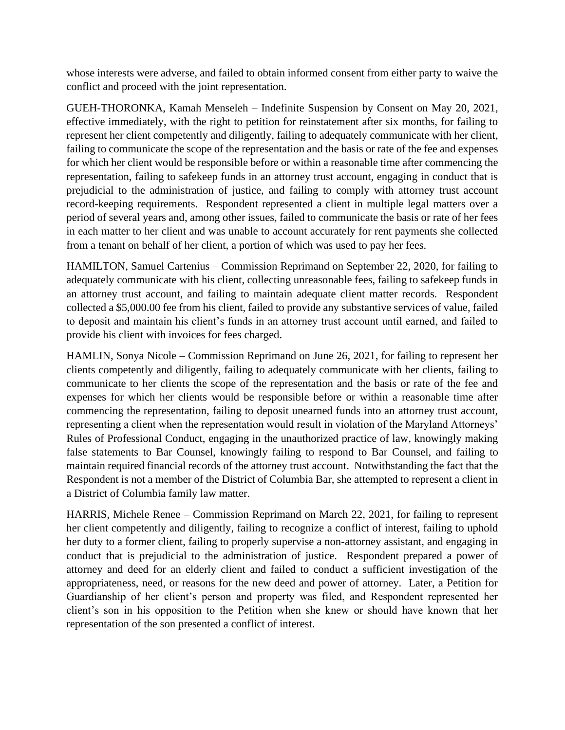whose interests were adverse, and failed to obtain informed consent from either party to waive the conflict and proceed with the joint representation.

GUEH-THORONKA, Kamah Menseleh – Indefinite Suspension by Consent on May 20, 2021, effective immediately, with the right to petition for reinstatement after six months, for failing to represent her client competently and diligently, failing to adequately communicate with her client, failing to communicate the scope of the representation and the basis or rate of the fee and expenses for which her client would be responsible before or within a reasonable time after commencing the representation, failing to safekeep funds in an attorney trust account, engaging in conduct that is prejudicial to the administration of justice, and failing to comply with attorney trust account record-keeping requirements. Respondent represented a client in multiple legal matters over a period of several years and, among other issues, failed to communicate the basis or rate of her fees in each matter to her client and was unable to account accurately for rent payments she collected from a tenant on behalf of her client, a portion of which was used to pay her fees.

HAMILTON, Samuel Cartenius – Commission Reprimand on September 22, 2020, for failing to adequately communicate with his client, collecting unreasonable fees, failing to safekeep funds in an attorney trust account, and failing to maintain adequate client matter records. Respondent collected a \$5,000.00 fee from his client, failed to provide any substantive services of value, failed to deposit and maintain his client's funds in an attorney trust account until earned, and failed to provide his client with invoices for fees charged.

HAMLIN, Sonya Nicole – Commission Reprimand on June 26, 2021, for failing to represent her clients competently and diligently, failing to adequately communicate with her clients, failing to communicate to her clients the scope of the representation and the basis or rate of the fee and expenses for which her clients would be responsible before or within a reasonable time after commencing the representation, failing to deposit unearned funds into an attorney trust account, representing a client when the representation would result in violation of the Maryland Attorneys' Rules of Professional Conduct, engaging in the unauthorized practice of law, knowingly making false statements to Bar Counsel, knowingly failing to respond to Bar Counsel, and failing to maintain required financial records of the attorney trust account. Notwithstanding the fact that the Respondent is not a member of the District of Columbia Bar, she attempted to represent a client in a District of Columbia family law matter.

HARRIS, Michele Renee – Commission Reprimand on March 22, 2021, for failing to represent her client competently and diligently, failing to recognize a conflict of interest, failing to uphold her duty to a former client, failing to properly supervise a non-attorney assistant, and engaging in conduct that is prejudicial to the administration of justice. Respondent prepared a power of attorney and deed for an elderly client and failed to conduct a sufficient investigation of the appropriateness, need, or reasons for the new deed and power of attorney. Later, a Petition for Guardianship of her client's person and property was filed, and Respondent represented her client's son in his opposition to the Petition when she knew or should have known that her representation of the son presented a conflict of interest.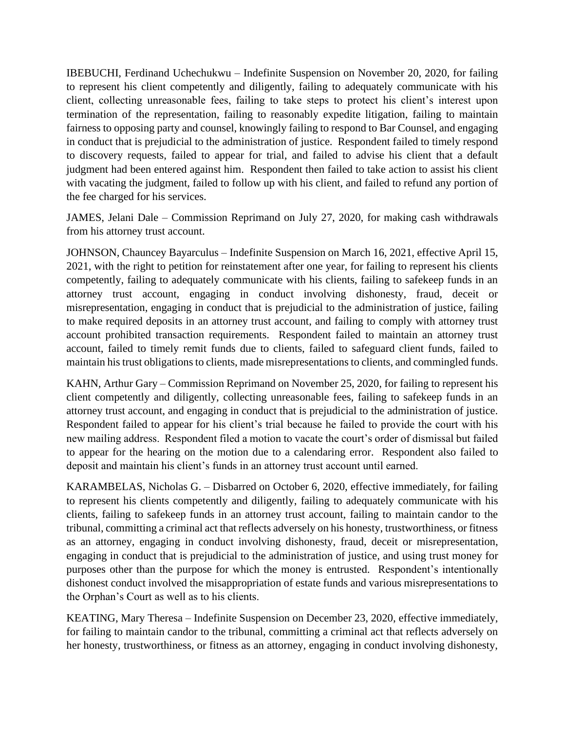IBEBUCHI, Ferdinand Uchechukwu – Indefinite Suspension on November 20, 2020, for failing to represent his client competently and diligently, failing to adequately communicate with his client, collecting unreasonable fees, failing to take steps to protect his client's interest upon termination of the representation, failing to reasonably expedite litigation, failing to maintain fairness to opposing party and counsel, knowingly failing to respond to Bar Counsel, and engaging in conduct that is prejudicial to the administration of justice. Respondent failed to timely respond to discovery requests, failed to appear for trial, and failed to advise his client that a default judgment had been entered against him. Respondent then failed to take action to assist his client with vacating the judgment, failed to follow up with his client, and failed to refund any portion of the fee charged for his services.

JAMES, Jelani Dale – Commission Reprimand on July 27, 2020, for making cash withdrawals from his attorney trust account.

JOHNSON, Chauncey Bayarculus – Indefinite Suspension on March 16, 2021, effective April 15, 2021, with the right to petition for reinstatement after one year, for failing to represent his clients competently, failing to adequately communicate with his clients, failing to safekeep funds in an attorney trust account, engaging in conduct involving dishonesty, fraud, deceit or misrepresentation, engaging in conduct that is prejudicial to the administration of justice, failing to make required deposits in an attorney trust account, and failing to comply with attorney trust account prohibited transaction requirements. Respondent failed to maintain an attorney trust account, failed to timely remit funds due to clients, failed to safeguard client funds, failed to maintain his trust obligations to clients, made misrepresentations to clients, and commingled funds.

KAHN, Arthur Gary – Commission Reprimand on November 25, 2020, for failing to represent his client competently and diligently, collecting unreasonable fees, failing to safekeep funds in an attorney trust account, and engaging in conduct that is prejudicial to the administration of justice. Respondent failed to appear for his client's trial because he failed to provide the court with his new mailing address. Respondent filed a motion to vacate the court's order of dismissal but failed to appear for the hearing on the motion due to a calendaring error. Respondent also failed to deposit and maintain his client's funds in an attorney trust account until earned.

KARAMBELAS, Nicholas G. – Disbarred on October 6, 2020, effective immediately, for failing to represent his clients competently and diligently, failing to adequately communicate with his clients, failing to safekeep funds in an attorney trust account, failing to maintain candor to the tribunal, committing a criminal act that reflects adversely on his honesty, trustworthiness, or fitness as an attorney, engaging in conduct involving dishonesty, fraud, deceit or misrepresentation, engaging in conduct that is prejudicial to the administration of justice, and using trust money for purposes other than the purpose for which the money is entrusted. Respondent's intentionally dishonest conduct involved the misappropriation of estate funds and various misrepresentations to the Orphan's Court as well as to his clients.

KEATING, Mary Theresa – Indefinite Suspension on December 23, 2020, effective immediately, for failing to maintain candor to the tribunal, committing a criminal act that reflects adversely on her honesty, trustworthiness, or fitness as an attorney, engaging in conduct involving dishonesty,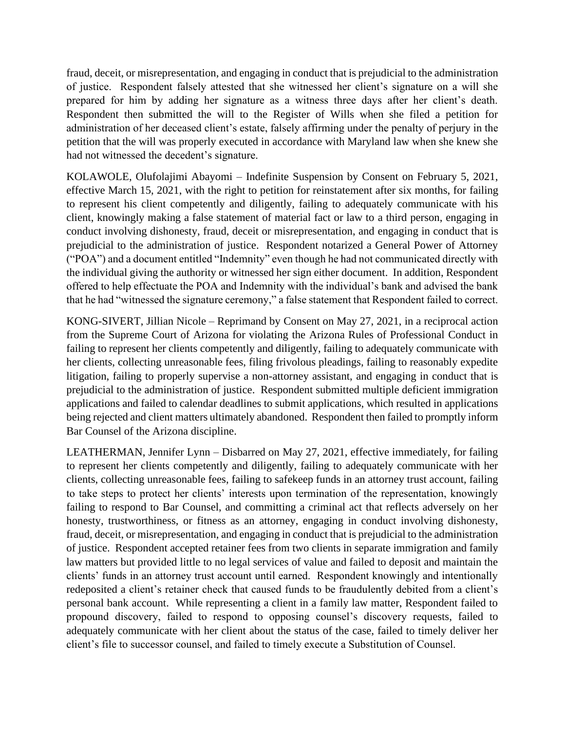fraud, deceit, or misrepresentation, and engaging in conduct that is prejudicial to the administration of justice. Respondent falsely attested that she witnessed her client's signature on a will she prepared for him by adding her signature as a witness three days after her client's death. Respondent then submitted the will to the Register of Wills when she filed a petition for administration of her deceased client's estate, falsely affirming under the penalty of perjury in the petition that the will was properly executed in accordance with Maryland law when she knew she had not witnessed the decedent's signature.

KOLAWOLE, Olufolajimi Abayomi – Indefinite Suspension by Consent on February 5, 2021, effective March 15, 2021, with the right to petition for reinstatement after six months, for failing to represent his client competently and diligently, failing to adequately communicate with his client, knowingly making a false statement of material fact or law to a third person, engaging in conduct involving dishonesty, fraud, deceit or misrepresentation, and engaging in conduct that is prejudicial to the administration of justice. Respondent notarized a General Power of Attorney ("POA") and a document entitled "Indemnity" even though he had not communicated directly with the individual giving the authority or witnessed her sign either document. In addition, Respondent offered to help effectuate the POA and Indemnity with the individual's bank and advised the bank that he had "witnessed the signature ceremony," a false statement that Respondent failed to correct.

KONG-SIVERT, Jillian Nicole – Reprimand by Consent on May 27, 2021, in a reciprocal action from the Supreme Court of Arizona for violating the Arizona Rules of Professional Conduct in failing to represent her clients competently and diligently, failing to adequately communicate with her clients, collecting unreasonable fees, filing frivolous pleadings, failing to reasonably expedite litigation, failing to properly supervise a non-attorney assistant, and engaging in conduct that is prejudicial to the administration of justice. Respondent submitted multiple deficient immigration applications and failed to calendar deadlines to submit applications, which resulted in applications being rejected and client matters ultimately abandoned. Respondent then failed to promptly inform Bar Counsel of the Arizona discipline.

LEATHERMAN, Jennifer Lynn – Disbarred on May 27, 2021, effective immediately, for failing to represent her clients competently and diligently, failing to adequately communicate with her clients, collecting unreasonable fees, failing to safekeep funds in an attorney trust account, failing to take steps to protect her clients' interests upon termination of the representation, knowingly failing to respond to Bar Counsel, and committing a criminal act that reflects adversely on her honesty, trustworthiness, or fitness as an attorney, engaging in conduct involving dishonesty, fraud, deceit, or misrepresentation, and engaging in conduct that is prejudicial to the administration of justice. Respondent accepted retainer fees from two clients in separate immigration and family law matters but provided little to no legal services of value and failed to deposit and maintain the clients' funds in an attorney trust account until earned. Respondent knowingly and intentionally redeposited a client's retainer check that caused funds to be fraudulently debited from a client's personal bank account. While representing a client in a family law matter, Respondent failed to propound discovery, failed to respond to opposing counsel's discovery requests, failed to adequately communicate with her client about the status of the case, failed to timely deliver her client's file to successor counsel, and failed to timely execute a Substitution of Counsel.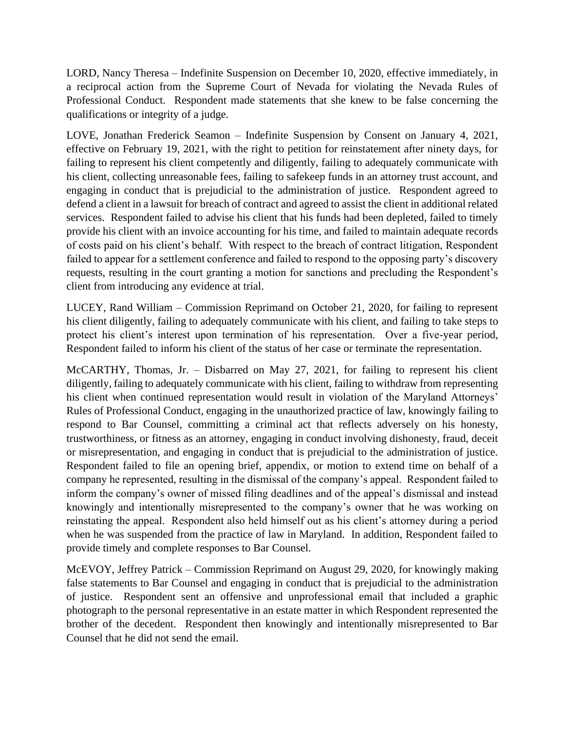LORD, Nancy Theresa – Indefinite Suspension on December 10, 2020, effective immediately, in a reciprocal action from the Supreme Court of Nevada for violating the Nevada Rules of Professional Conduct. Respondent made statements that she knew to be false concerning the qualifications or integrity of a judge.

LOVE, Jonathan Frederick Seamon – Indefinite Suspension by Consent on January 4, 2021, effective on February 19, 2021, with the right to petition for reinstatement after ninety days, for failing to represent his client competently and diligently, failing to adequately communicate with his client, collecting unreasonable fees, failing to safekeep funds in an attorney trust account, and engaging in conduct that is prejudicial to the administration of justice. Respondent agreed to defend a client in a lawsuit for breach of contract and agreed to assist the client in additional related services. Respondent failed to advise his client that his funds had been depleted, failed to timely provide his client with an invoice accounting for his time, and failed to maintain adequate records of costs paid on his client's behalf. With respect to the breach of contract litigation, Respondent failed to appear for a settlement conference and failed to respond to the opposing party's discovery requests, resulting in the court granting a motion for sanctions and precluding the Respondent's client from introducing any evidence at trial.

LUCEY, Rand William – Commission Reprimand on October 21, 2020, for failing to represent his client diligently, failing to adequately communicate with his client, and failing to take steps to protect his client's interest upon termination of his representation. Over a five-year period, Respondent failed to inform his client of the status of her case or terminate the representation.

McCARTHY, Thomas, Jr. – Disbarred on May 27, 2021, for failing to represent his client diligently, failing to adequately communicate with his client, failing to withdraw from representing his client when continued representation would result in violation of the Maryland Attorneys' Rules of Professional Conduct, engaging in the unauthorized practice of law, knowingly failing to respond to Bar Counsel, committing a criminal act that reflects adversely on his honesty, trustworthiness, or fitness as an attorney, engaging in conduct involving dishonesty, fraud, deceit or misrepresentation, and engaging in conduct that is prejudicial to the administration of justice. Respondent failed to file an opening brief, appendix, or motion to extend time on behalf of a company he represented, resulting in the dismissal of the company's appeal. Respondent failed to inform the company's owner of missed filing deadlines and of the appeal's dismissal and instead knowingly and intentionally misrepresented to the company's owner that he was working on reinstating the appeal. Respondent also held himself out as his client's attorney during a period when he was suspended from the practice of law in Maryland. In addition, Respondent failed to provide timely and complete responses to Bar Counsel.

McEVOY, Jeffrey Patrick – Commission Reprimand on August 29, 2020, for knowingly making false statements to Bar Counsel and engaging in conduct that is prejudicial to the administration of justice. Respondent sent an offensive and unprofessional email that included a graphic photograph to the personal representative in an estate matter in which Respondent represented the brother of the decedent. Respondent then knowingly and intentionally misrepresented to Bar Counsel that he did not send the email.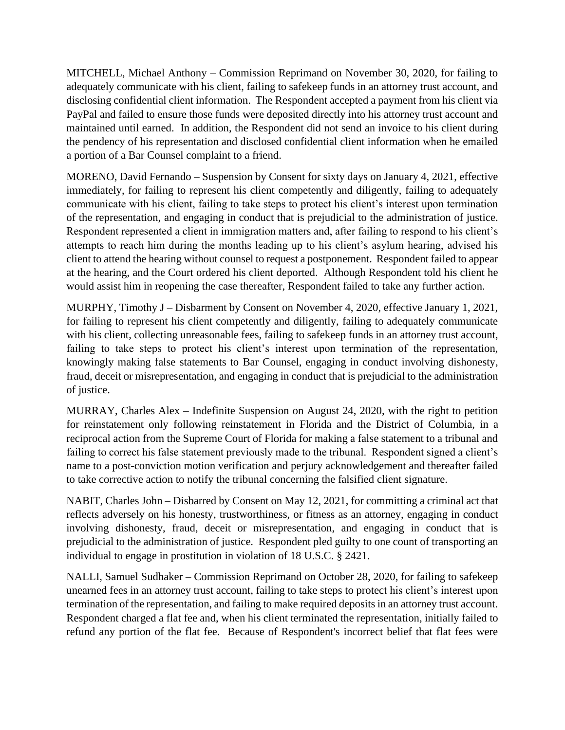MITCHELL, Michael Anthony – Commission Reprimand on November 30, 2020, for failing to adequately communicate with his client, failing to safekeep funds in an attorney trust account, and disclosing confidential client information. The Respondent accepted a payment from his client via PayPal and failed to ensure those funds were deposited directly into his attorney trust account and maintained until earned. In addition, the Respondent did not send an invoice to his client during the pendency of his representation and disclosed confidential client information when he emailed a portion of a Bar Counsel complaint to a friend.

MORENO, David Fernando – Suspension by Consent for sixty days on January 4, 2021, effective immediately, for failing to represent his client competently and diligently, failing to adequately communicate with his client, failing to take steps to protect his client's interest upon termination of the representation, and engaging in conduct that is prejudicial to the administration of justice. Respondent represented a client in immigration matters and, after failing to respond to his client's attempts to reach him during the months leading up to his client's asylum hearing, advised his client to attend the hearing without counsel to request a postponement. Respondent failed to appear at the hearing, and the Court ordered his client deported. Although Respondent told his client he would assist him in reopening the case thereafter, Respondent failed to take any further action.

MURPHY, Timothy J – Disbarment by Consent on November 4, 2020, effective January 1, 2021, for failing to represent his client competently and diligently, failing to adequately communicate with his client, collecting unreasonable fees, failing to safekeep funds in an attorney trust account, failing to take steps to protect his client's interest upon termination of the representation, knowingly making false statements to Bar Counsel, engaging in conduct involving dishonesty, fraud, deceit or misrepresentation, and engaging in conduct that is prejudicial to the administration of justice.

MURRAY, Charles Alex – Indefinite Suspension on August 24, 2020, with the right to petition for reinstatement only following reinstatement in Florida and the District of Columbia, in a reciprocal action from the Supreme Court of Florida for making a false statement to a tribunal and failing to correct his false statement previously made to the tribunal. Respondent signed a client's name to a post-conviction motion verification and perjury acknowledgement and thereafter failed to take corrective action to notify the tribunal concerning the falsified client signature.

NABIT, Charles John – Disbarred by Consent on May 12, 2021, for committing a criminal act that reflects adversely on his honesty, trustworthiness, or fitness as an attorney, engaging in conduct involving dishonesty, fraud, deceit or misrepresentation, and engaging in conduct that is prejudicial to the administration of justice. Respondent pled guilty to one count of transporting an individual to engage in prostitution in violation of 18 U.S.C. § 2421.

NALLI, Samuel Sudhaker – Commission Reprimand on October 28, 2020, for failing to safekeep unearned fees in an attorney trust account, failing to take steps to protect his client's interest upon termination of the representation, and failing to make required deposits in an attorney trust account. Respondent charged a flat fee and, when his client terminated the representation, initially failed to refund any portion of the flat fee. Because of Respondent's incorrect belief that flat fees were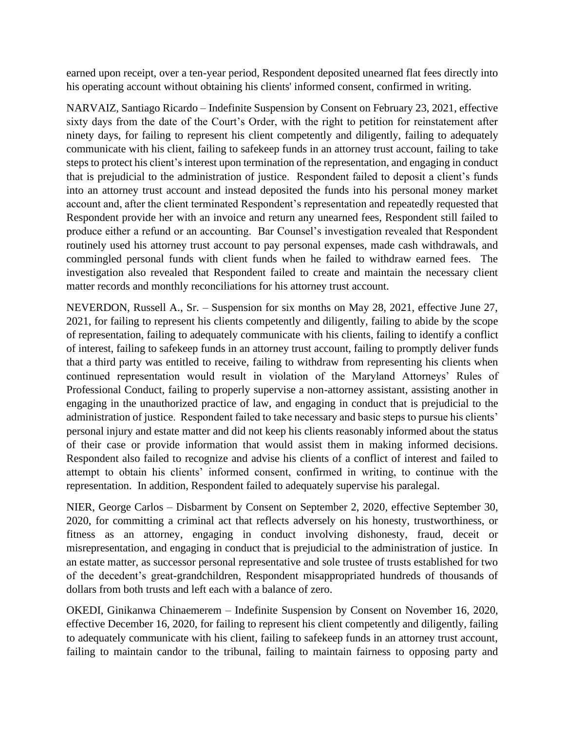earned upon receipt, over a ten-year period, Respondent deposited unearned flat fees directly into his operating account without obtaining his clients' informed consent, confirmed in writing.

NARVAIZ, Santiago Ricardo – Indefinite Suspension by Consent on February 23, 2021, effective sixty days from the date of the Court's Order, with the right to petition for reinstatement after ninety days, for failing to represent his client competently and diligently, failing to adequately communicate with his client, failing to safekeep funds in an attorney trust account, failing to take steps to protect his client's interest upon termination of the representation, and engaging in conduct that is prejudicial to the administration of justice. Respondent failed to deposit a client's funds into an attorney trust account and instead deposited the funds into his personal money market account and, after the client terminated Respondent's representation and repeatedly requested that Respondent provide her with an invoice and return any unearned fees, Respondent still failed to produce either a refund or an accounting. Bar Counsel's investigation revealed that Respondent routinely used his attorney trust account to pay personal expenses, made cash withdrawals, and commingled personal funds with client funds when he failed to withdraw earned fees. The investigation also revealed that Respondent failed to create and maintain the necessary client matter records and monthly reconciliations for his attorney trust account.

NEVERDON, Russell A., Sr. – Suspension for six months on May 28, 2021, effective June 27, 2021, for failing to represent his clients competently and diligently, failing to abide by the scope of representation, failing to adequately communicate with his clients, failing to identify a conflict of interest, failing to safekeep funds in an attorney trust account, failing to promptly deliver funds that a third party was entitled to receive, failing to withdraw from representing his clients when continued representation would result in violation of the Maryland Attorneys' Rules of Professional Conduct, failing to properly supervise a non-attorney assistant, assisting another in engaging in the unauthorized practice of law, and engaging in conduct that is prejudicial to the administration of justice. Respondent failed to take necessary and basic steps to pursue his clients' personal injury and estate matter and did not keep his clients reasonably informed about the status of their case or provide information that would assist them in making informed decisions. Respondent also failed to recognize and advise his clients of a conflict of interest and failed to attempt to obtain his clients' informed consent, confirmed in writing, to continue with the representation. In addition, Respondent failed to adequately supervise his paralegal.

NIER, George Carlos – Disbarment by Consent on September 2, 2020, effective September 30, 2020, for committing a criminal act that reflects adversely on his honesty, trustworthiness, or fitness as an attorney, engaging in conduct involving dishonesty, fraud, deceit or misrepresentation, and engaging in conduct that is prejudicial to the administration of justice. In an estate matter, as successor personal representative and sole trustee of trusts established for two of the decedent's great-grandchildren, Respondent misappropriated hundreds of thousands of dollars from both trusts and left each with a balance of zero.

OKEDI, Ginikanwa Chinaemerem – Indefinite Suspension by Consent on November 16, 2020, effective December 16, 2020, for failing to represent his client competently and diligently, failing to adequately communicate with his client, failing to safekeep funds in an attorney trust account, failing to maintain candor to the tribunal, failing to maintain fairness to opposing party and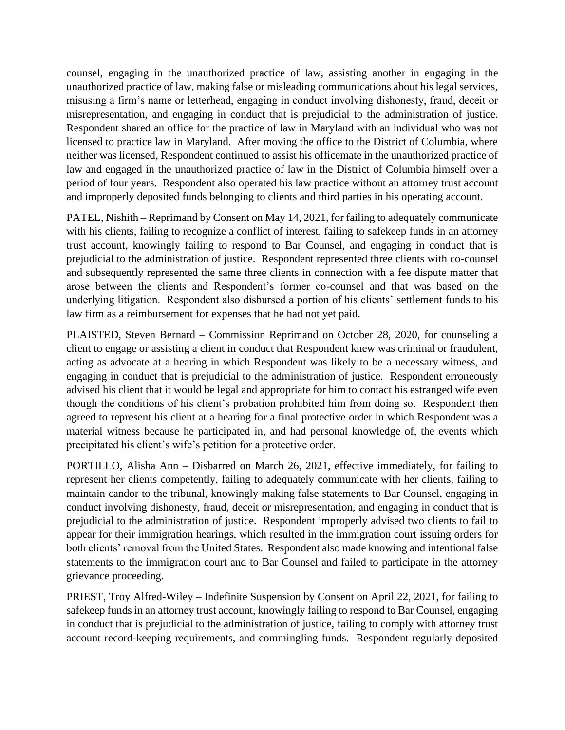counsel, engaging in the unauthorized practice of law, assisting another in engaging in the unauthorized practice of law, making false or misleading communications about his legal services, misusing a firm's name or letterhead, engaging in conduct involving dishonesty, fraud, deceit or misrepresentation, and engaging in conduct that is prejudicial to the administration of justice. Respondent shared an office for the practice of law in Maryland with an individual who was not licensed to practice law in Maryland. After moving the office to the District of Columbia, where neither was licensed, Respondent continued to assist his officemate in the unauthorized practice of law and engaged in the unauthorized practice of law in the District of Columbia himself over a period of four years. Respondent also operated his law practice without an attorney trust account and improperly deposited funds belonging to clients and third parties in his operating account.

PATEL, Nishith – Reprimand by Consent on May 14, 2021, for failing to adequately communicate with his clients, failing to recognize a conflict of interest, failing to safekeep funds in an attorney trust account, knowingly failing to respond to Bar Counsel, and engaging in conduct that is prejudicial to the administration of justice. Respondent represented three clients with co-counsel and subsequently represented the same three clients in connection with a fee dispute matter that arose between the clients and Respondent's former co-counsel and that was based on the underlying litigation. Respondent also disbursed a portion of his clients' settlement funds to his law firm as a reimbursement for expenses that he had not yet paid.

PLAISTED, Steven Bernard – Commission Reprimand on October 28, 2020, for counseling a client to engage or assisting a client in conduct that Respondent knew was criminal or fraudulent, acting as advocate at a hearing in which Respondent was likely to be a necessary witness, and engaging in conduct that is prejudicial to the administration of justice. Respondent erroneously advised his client that it would be legal and appropriate for him to contact his estranged wife even though the conditions of his client's probation prohibited him from doing so. Respondent then agreed to represent his client at a hearing for a final protective order in which Respondent was a material witness because he participated in, and had personal knowledge of, the events which precipitated his client's wife's petition for a protective order.

PORTILLO, Alisha Ann – Disbarred on March 26, 2021, effective immediately, for failing to represent her clients competently, failing to adequately communicate with her clients, failing to maintain candor to the tribunal, knowingly making false statements to Bar Counsel, engaging in conduct involving dishonesty, fraud, deceit or misrepresentation, and engaging in conduct that is prejudicial to the administration of justice. Respondent improperly advised two clients to fail to appear for their immigration hearings, which resulted in the immigration court issuing orders for both clients' removal from the United States. Respondent also made knowing and intentional false statements to the immigration court and to Bar Counsel and failed to participate in the attorney grievance proceeding.

PRIEST, Troy Alfred-Wiley – Indefinite Suspension by Consent on April 22, 2021, for failing to safekeep funds in an attorney trust account, knowingly failing to respond to Bar Counsel, engaging in conduct that is prejudicial to the administration of justice, failing to comply with attorney trust account record-keeping requirements, and commingling funds. Respondent regularly deposited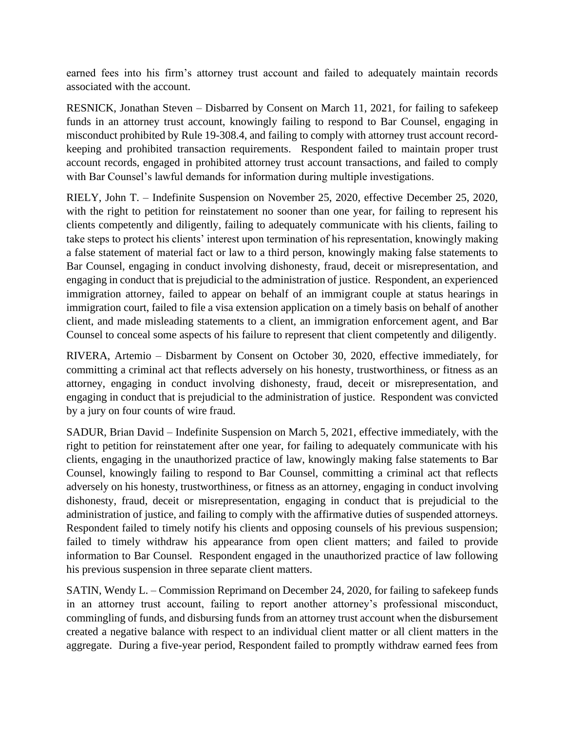earned fees into his firm's attorney trust account and failed to adequately maintain records associated with the account.

RESNICK, Jonathan Steven – Disbarred by Consent on March 11, 2021, for failing to safekeep funds in an attorney trust account, knowingly failing to respond to Bar Counsel, engaging in misconduct prohibited by Rule 19-308.4, and failing to comply with attorney trust account recordkeeping and prohibited transaction requirements. Respondent failed to maintain proper trust account records, engaged in prohibited attorney trust account transactions, and failed to comply with Bar Counsel's lawful demands for information during multiple investigations.

RIELY, John T. – Indefinite Suspension on November 25, 2020, effective December 25, 2020, with the right to petition for reinstatement no sooner than one year, for failing to represent his clients competently and diligently, failing to adequately communicate with his clients, failing to take steps to protect his clients' interest upon termination of his representation, knowingly making a false statement of material fact or law to a third person, knowingly making false statements to Bar Counsel, engaging in conduct involving dishonesty, fraud, deceit or misrepresentation, and engaging in conduct that is prejudicial to the administration of justice. Respondent, an experienced immigration attorney, failed to appear on behalf of an immigrant couple at status hearings in immigration court, failed to file a visa extension application on a timely basis on behalf of another client, and made misleading statements to a client, an immigration enforcement agent, and Bar Counsel to conceal some aspects of his failure to represent that client competently and diligently.

RIVERA, Artemio – Disbarment by Consent on October 30, 2020, effective immediately, for committing a criminal act that reflects adversely on his honesty, trustworthiness, or fitness as an attorney, engaging in conduct involving dishonesty, fraud, deceit or misrepresentation, and engaging in conduct that is prejudicial to the administration of justice. Respondent was convicted by a jury on four counts of wire fraud.

SADUR, Brian David – Indefinite Suspension on March 5, 2021, effective immediately, with the right to petition for reinstatement after one year, for failing to adequately communicate with his clients, engaging in the unauthorized practice of law, knowingly making false statements to Bar Counsel, knowingly failing to respond to Bar Counsel, committing a criminal act that reflects adversely on his honesty, trustworthiness, or fitness as an attorney, engaging in conduct involving dishonesty, fraud, deceit or misrepresentation, engaging in conduct that is prejudicial to the administration of justice, and failing to comply with the affirmative duties of suspended attorneys. Respondent failed to timely notify his clients and opposing counsels of his previous suspension; failed to timely withdraw his appearance from open client matters; and failed to provide information to Bar Counsel. Respondent engaged in the unauthorized practice of law following his previous suspension in three separate client matters.

SATIN, Wendy L. – Commission Reprimand on December 24, 2020, for failing to safekeep funds in an attorney trust account, failing to report another attorney's professional misconduct, commingling of funds, and disbursing funds from an attorney trust account when the disbursement created a negative balance with respect to an individual client matter or all client matters in the aggregate. During a five-year period, Respondent failed to promptly withdraw earned fees from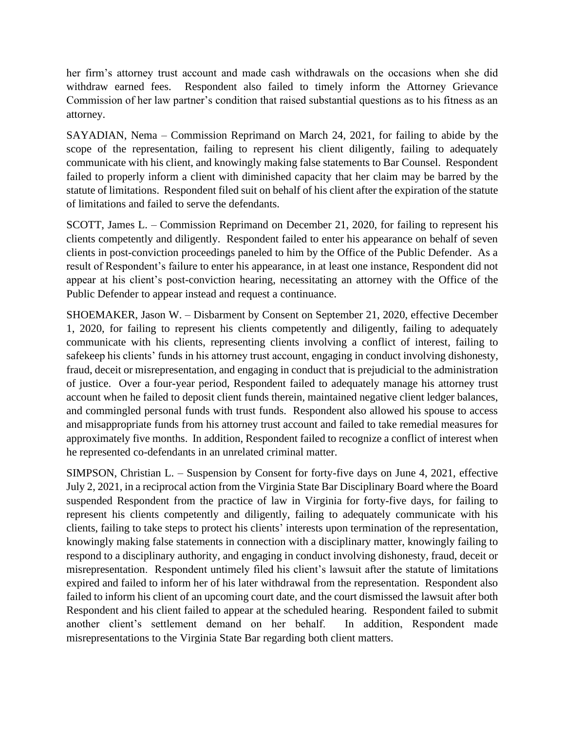her firm's attorney trust account and made cash withdrawals on the occasions when she did withdraw earned fees. Respondent also failed to timely inform the Attorney Grievance Commission of her law partner's condition that raised substantial questions as to his fitness as an attorney.

SAYADIAN, Nema – Commission Reprimand on March 24, 2021, for failing to abide by the scope of the representation, failing to represent his client diligently, failing to adequately communicate with his client, and knowingly making false statements to Bar Counsel. Respondent failed to properly inform a client with diminished capacity that her claim may be barred by the statute of limitations. Respondent filed suit on behalf of his client after the expiration of the statute of limitations and failed to serve the defendants.

SCOTT, James L. – Commission Reprimand on December 21, 2020, for failing to represent his clients competently and diligently. Respondent failed to enter his appearance on behalf of seven clients in post-conviction proceedings paneled to him by the Office of the Public Defender. As a result of Respondent's failure to enter his appearance, in at least one instance, Respondent did not appear at his client's post-conviction hearing, necessitating an attorney with the Office of the Public Defender to appear instead and request a continuance.

SHOEMAKER, Jason W. – Disbarment by Consent on September 21, 2020, effective December 1, 2020, for failing to represent his clients competently and diligently, failing to adequately communicate with his clients, representing clients involving a conflict of interest, failing to safekeep his clients' funds in his attorney trust account, engaging in conduct involving dishonesty, fraud, deceit or misrepresentation, and engaging in conduct that is prejudicial to the administration of justice. Over a four-year period, Respondent failed to adequately manage his attorney trust account when he failed to deposit client funds therein, maintained negative client ledger balances, and commingled personal funds with trust funds. Respondent also allowed his spouse to access and misappropriate funds from his attorney trust account and failed to take remedial measures for approximately five months. In addition, Respondent failed to recognize a conflict of interest when he represented co-defendants in an unrelated criminal matter.

SIMPSON, Christian L. – Suspension by Consent for forty-five days on June 4, 2021, effective July 2, 2021, in a reciprocal action from the Virginia State Bar Disciplinary Board where the Board suspended Respondent from the practice of law in Virginia for forty-five days, for failing to represent his clients competently and diligently, failing to adequately communicate with his clients, failing to take steps to protect his clients' interests upon termination of the representation, knowingly making false statements in connection with a disciplinary matter, knowingly failing to respond to a disciplinary authority, and engaging in conduct involving dishonesty, fraud, deceit or misrepresentation. Respondent untimely filed his client's lawsuit after the statute of limitations expired and failed to inform her of his later withdrawal from the representation. Respondent also failed to inform his client of an upcoming court date, and the court dismissed the lawsuit after both Respondent and his client failed to appear at the scheduled hearing. Respondent failed to submit another client's settlement demand on her behalf. In addition, Respondent made misrepresentations to the Virginia State Bar regarding both client matters.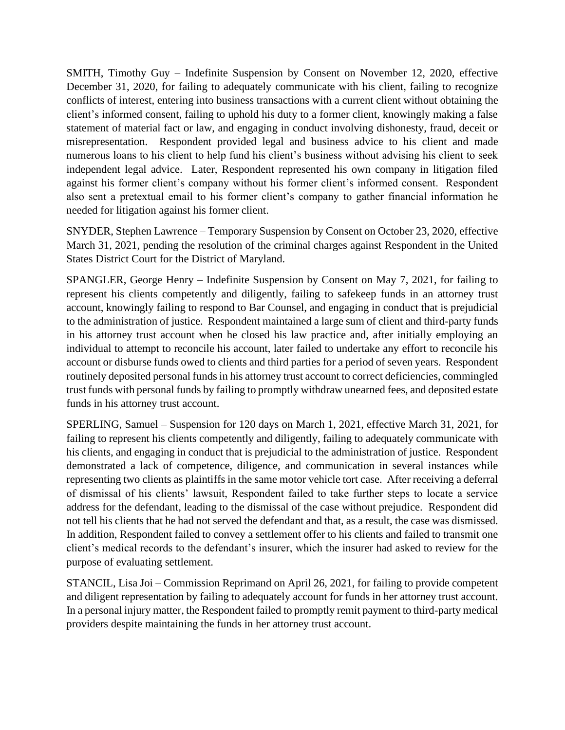SMITH, Timothy Guy – Indefinite Suspension by Consent on November 12, 2020, effective December 31, 2020, for failing to adequately communicate with his client, failing to recognize conflicts of interest, entering into business transactions with a current client without obtaining the client's informed consent, failing to uphold his duty to a former client, knowingly making a false statement of material fact or law, and engaging in conduct involving dishonesty, fraud, deceit or misrepresentation. Respondent provided legal and business advice to his client and made numerous loans to his client to help fund his client's business without advising his client to seek independent legal advice. Later, Respondent represented his own company in litigation filed against his former client's company without his former client's informed consent. Respondent also sent a pretextual email to his former client's company to gather financial information he needed for litigation against his former client.

SNYDER, Stephen Lawrence – Temporary Suspension by Consent on October 23, 2020, effective March 31, 2021, pending the resolution of the criminal charges against Respondent in the United States District Court for the District of Maryland.

SPANGLER, George Henry – Indefinite Suspension by Consent on May 7, 2021, for failing to represent his clients competently and diligently, failing to safekeep funds in an attorney trust account, knowingly failing to respond to Bar Counsel, and engaging in conduct that is prejudicial to the administration of justice. Respondent maintained a large sum of client and third-party funds in his attorney trust account when he closed his law practice and, after initially employing an individual to attempt to reconcile his account, later failed to undertake any effort to reconcile his account or disburse funds owed to clients and third parties for a period of seven years. Respondent routinely deposited personal funds in his attorney trust account to correct deficiencies, commingled trust funds with personal funds by failing to promptly withdraw unearned fees, and deposited estate funds in his attorney trust account.

SPERLING, Samuel – Suspension for 120 days on March 1, 2021, effective March 31, 2021, for failing to represent his clients competently and diligently, failing to adequately communicate with his clients, and engaging in conduct that is prejudicial to the administration of justice. Respondent demonstrated a lack of competence, diligence, and communication in several instances while representing two clients as plaintiffs in the same motor vehicle tort case. After receiving a deferral of dismissal of his clients' lawsuit, Respondent failed to take further steps to locate a service address for the defendant, leading to the dismissal of the case without prejudice. Respondent did not tell his clients that he had not served the defendant and that, as a result, the case was dismissed. In addition, Respondent failed to convey a settlement offer to his clients and failed to transmit one client's medical records to the defendant's insurer, which the insurer had asked to review for the purpose of evaluating settlement.

STANCIL, Lisa Joi – Commission Reprimand on April 26, 2021, for failing to provide competent and diligent representation by failing to adequately account for funds in her attorney trust account. In a personal injury matter, the Respondent failed to promptly remit payment to third-party medical providers despite maintaining the funds in her attorney trust account.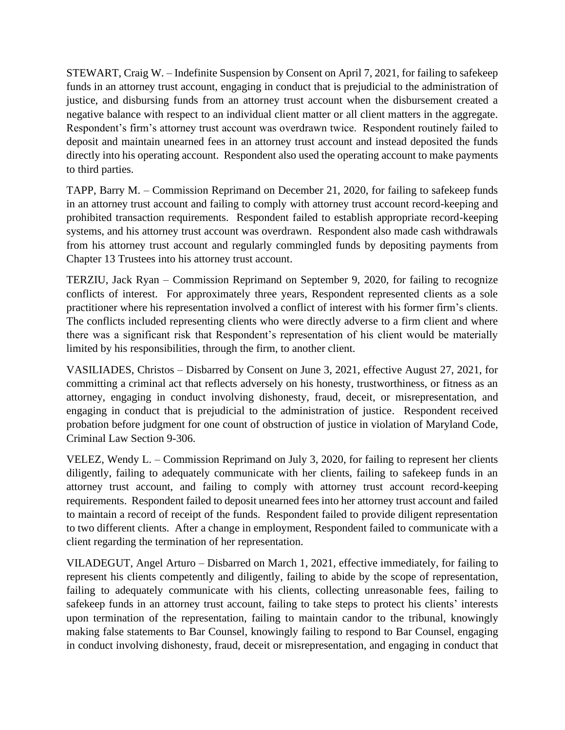STEWART, Craig W. – Indefinite Suspension by Consent on April 7, 2021, for failing to safekeep funds in an attorney trust account, engaging in conduct that is prejudicial to the administration of justice, and disbursing funds from an attorney trust account when the disbursement created a negative balance with respect to an individual client matter or all client matters in the aggregate. Respondent's firm's attorney trust account was overdrawn twice. Respondent routinely failed to deposit and maintain unearned fees in an attorney trust account and instead deposited the funds directly into his operating account. Respondent also used the operating account to make payments to third parties.

TAPP, Barry M. – Commission Reprimand on December 21, 2020, for failing to safekeep funds in an attorney trust account and failing to comply with attorney trust account record-keeping and prohibited transaction requirements. Respondent failed to establish appropriate record-keeping systems, and his attorney trust account was overdrawn. Respondent also made cash withdrawals from his attorney trust account and regularly commingled funds by depositing payments from Chapter 13 Trustees into his attorney trust account.

TERZIU, Jack Ryan – Commission Reprimand on September 9, 2020, for failing to recognize conflicts of interest. For approximately three years, Respondent represented clients as a sole practitioner where his representation involved a conflict of interest with his former firm's clients. The conflicts included representing clients who were directly adverse to a firm client and where there was a significant risk that Respondent's representation of his client would be materially limited by his responsibilities, through the firm, to another client.

VASILIADES, Christos – Disbarred by Consent on June 3, 2021, effective August 27, 2021, for committing a criminal act that reflects adversely on his honesty, trustworthiness, or fitness as an attorney, engaging in conduct involving dishonesty, fraud, deceit, or misrepresentation, and engaging in conduct that is prejudicial to the administration of justice. Respondent received probation before judgment for one count of obstruction of justice in violation of Maryland Code, Criminal Law Section 9-306.

VELEZ, Wendy L. – Commission Reprimand on July 3, 2020, for failing to represent her clients diligently, failing to adequately communicate with her clients, failing to safekeep funds in an attorney trust account, and failing to comply with attorney trust account record-keeping requirements. Respondent failed to deposit unearned fees into her attorney trust account and failed to maintain a record of receipt of the funds. Respondent failed to provide diligent representation to two different clients. After a change in employment, Respondent failed to communicate with a client regarding the termination of her representation.

VILADEGUT, Angel Arturo – Disbarred on March 1, 2021, effective immediately, for failing to represent his clients competently and diligently, failing to abide by the scope of representation, failing to adequately communicate with his clients, collecting unreasonable fees, failing to safekeep funds in an attorney trust account, failing to take steps to protect his clients' interests upon termination of the representation, failing to maintain candor to the tribunal, knowingly making false statements to Bar Counsel, knowingly failing to respond to Bar Counsel, engaging in conduct involving dishonesty, fraud, deceit or misrepresentation, and engaging in conduct that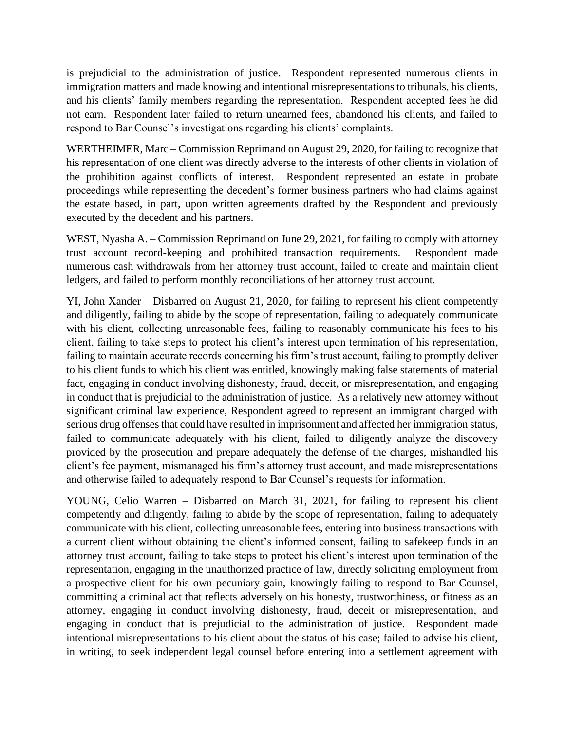is prejudicial to the administration of justice. Respondent represented numerous clients in immigration matters and made knowing and intentional misrepresentations to tribunals, his clients, and his clients' family members regarding the representation. Respondent accepted fees he did not earn. Respondent later failed to return unearned fees, abandoned his clients, and failed to respond to Bar Counsel's investigations regarding his clients' complaints.

WERTHEIMER, Marc – Commission Reprimand on August 29, 2020, for failing to recognize that his representation of one client was directly adverse to the interests of other clients in violation of the prohibition against conflicts of interest. Respondent represented an estate in probate proceedings while representing the decedent's former business partners who had claims against the estate based, in part, upon written agreements drafted by the Respondent and previously executed by the decedent and his partners.

WEST, Nyasha A. – Commission Reprimand on June 29, 2021, for failing to comply with attorney trust account record-keeping and prohibited transaction requirements. Respondent made numerous cash withdrawals from her attorney trust account, failed to create and maintain client ledgers, and failed to perform monthly reconciliations of her attorney trust account.

YI, John Xander – Disbarred on August 21, 2020, for failing to represent his client competently and diligently, failing to abide by the scope of representation, failing to adequately communicate with his client, collecting unreasonable fees, failing to reasonably communicate his fees to his client, failing to take steps to protect his client's interest upon termination of his representation, failing to maintain accurate records concerning his firm's trust account, failing to promptly deliver to his client funds to which his client was entitled, knowingly making false statements of material fact, engaging in conduct involving dishonesty, fraud, deceit, or misrepresentation, and engaging in conduct that is prejudicial to the administration of justice. As a relatively new attorney without significant criminal law experience, Respondent agreed to represent an immigrant charged with serious drug offenses that could have resulted in imprisonment and affected her immigration status, failed to communicate adequately with his client, failed to diligently analyze the discovery provided by the prosecution and prepare adequately the defense of the charges, mishandled his client's fee payment, mismanaged his firm's attorney trust account, and made misrepresentations and otherwise failed to adequately respond to Bar Counsel's requests for information.

YOUNG, Celio Warren – Disbarred on March 31, 2021, for failing to represent his client competently and diligently, failing to abide by the scope of representation, failing to adequately communicate with his client, collecting unreasonable fees, entering into business transactions with a current client without obtaining the client's informed consent, failing to safekeep funds in an attorney trust account, failing to take steps to protect his client's interest upon termination of the representation, engaging in the unauthorized practice of law, directly soliciting employment from a prospective client for his own pecuniary gain, knowingly failing to respond to Bar Counsel, committing a criminal act that reflects adversely on his honesty, trustworthiness, or fitness as an attorney, engaging in conduct involving dishonesty, fraud, deceit or misrepresentation, and engaging in conduct that is prejudicial to the administration of justice. Respondent made intentional misrepresentations to his client about the status of his case; failed to advise his client, in writing, to seek independent legal counsel before entering into a settlement agreement with